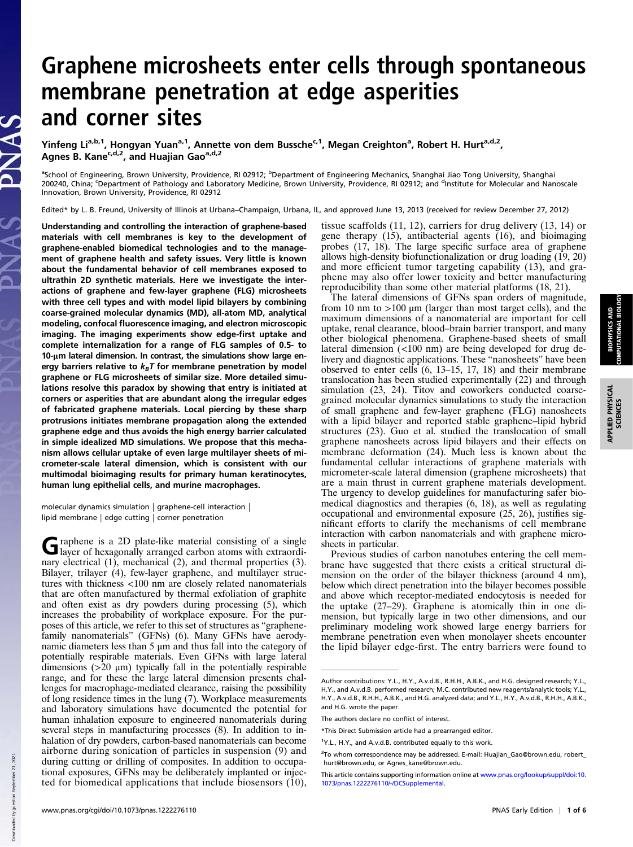Graphene microsheets enter cells through spontaneous membrane penetration at edge asperities and corner sites

Yinfeng Li<sup>a,b,1</sup>, Hongyan Yuan<sup>a,1</sup>, Annette von dem Bussche<sup>c,1</sup>, Megan Creighton<sup>a</sup>, Robert H. Hurt<sup>a,d,2</sup>, Agnes B. Kane<sup>c,d,2</sup>, and Huajian Gao<sup>a,d,2</sup>

<sup>a</sup>School of Engineering, Brown University, Providence, RI 02912; <sup>b</sup>Department of Engineering Mechanics, Shanghai Jiao Tong University, Shanghai 200240, China; <sup>c</sup>Department of Pathology and Laboratory Medicine, Brown University, Providence, RI 02912; and <sup>d</sup>institute for Molecular and Nanoscale Innovation, Brown University, Providence, RI 02912

Edited\* by L. B. Freund, University of Illinois at Urbana–Champaign, Urbana, IL, and approved June 13, 2013 (received for review December 27, 2012)

Understanding and controlling the interaction of graphene-based materials with cell membranes is key to the development of graphene-enabled biomedical technologies and to the management of graphene health and safety issues. Very little is known about the fundamental behavior of cell membranes exposed to ultrathin 2D synthetic materials. Here we investigate the interactions of graphene and few-layer graphene (FLG) microsheets with three cell types and with model lipid bilayers by combining coarse-grained molecular dynamics (MD), all-atom MD, analytical modeling, confocal fluorescence imaging, and electron microscopic imaging. The imaging experiments show edge-first uptake and complete internalization for a range of FLG samples of 0.5- to 10-μm lateral dimension. In contrast, the simulations show large energy barriers relative to  $k_B T$  for membrane penetration by model graphene or FLG microsheets of similar size. More detailed simulations resolve this paradox by showing that entry is initiated at corners or asperities that are abundant along the irregular edges of fabricated graphene materials. Local piercing by these sharp protrusions initiates membrane propagation along the extended graphene edge and thus avoids the high energy barrier calculated in simple idealized MD simulations. We propose that this mechanism allows cellular uptake of even large multilayer sheets of micrometer-scale lateral dimension, which is consistent with our multimodal bioimaging results for primary human keratinocytes, human lung epithelial cells, and murine macrophages.

molecular dynamics simulation  $|$  graphene-cell interaction  $|$ lipid membrane | edge cutting | corner penetration

Graphene is a 2D plate-like material consisting of a single<br>layer of hexagonally arranged carbon atoms with extraordinary electrical  $(1)$ , mechanical  $(2)$ , and thermal properties  $(3)$ . Bilayer, trilayer (4), few-layer graphene, and multilayer structures with thickness <100 nm are closely related nanomaterials that are often manufactured by thermal exfoliation of graphite and often exist as dry powders during processing (5), which increases the probability of workplace exposure. For the purposes of this article, we refer to this set of structures as "graphenefamily nanomaterials" (GFNs) (6). Many GFNs have aerodynamic diameters less than 5 μm and thus fall into the category of potentially respirable materials. Even GFNs with large lateral dimensions  $(20 \mu m)$  typically fall in the potentially respirable range, and for these the large lateral dimension presents challenges for macrophage-mediated clearance, raising the possibility of long residence times in the lung (7). Workplace measurements and laboratory simulations have documented the potential for human inhalation exposure to engineered nanomaterials during several steps in manufacturing processes (8). In addition to inhalation of dry powders, carbon-based nanomaterials can become airborne during sonication of particles in suspension (9) and during cutting or drilling of composites. In addition to occupational exposures, GFNs may be deliberately implanted or injected for biomedical applications that include biosensors (10), tissue scaffolds (11, 12), carriers for drug delivery (13, 14) or gene therapy  $(15)$ , antibacterial agents  $(16)$ , and bioimaging probes (17, 18). The large specific surface area of graphene allows high-density biofunctionalization or drug loading (19, 20) and more efficient tumor targeting capability (13), and graphene may also offer lower toxicity and better manufacturing reproducibility than some other material platforms (18, 21).

The lateral dimensions of GFNs span orders of magnitude, from 10 nm to  $>100 \mu m$  (larger than most target cells), and the maximum dimensions of a nanomaterial are important for cell uptake, renal clearance, blood–brain barrier transport, and many other biological phenomena. Graphene-based sheets of small lateral dimension (<100 nm) are being developed for drug delivery and diagnostic applications. These "nanosheets" have been observed to enter cells (6, 13–15, 17, 18) and their membrane translocation has been studied experimentally (22) and through simulation (23, 24). Titov and coworkers conducted coarsegrained molecular dynamics simulations to study the interaction of small graphene and few-layer graphene (FLG) nanosheets with a lipid bilayer and reported stable graphene–lipid hybrid structures (23). Guo et al. studied the translocation of small graphene nanosheets across lipid bilayers and their effects on membrane deformation (24). Much less is known about the fundamental cellular interactions of graphene materials with micrometer-scale lateral dimension (graphene microsheets) that are a main thrust in current graphene materials development. The urgency to develop guidelines for manufacturing safer biomedical diagnostics and therapies (6, 18), as well as regulating occupational and environmental exposure (25, 26), justifies significant efforts to clarify the mechanisms of cell membrane interaction with carbon nanomaterials and with graphene microsheets in particular.

Previous studies of carbon nanotubes entering the cell membrane have suggested that there exists a critical structural dimension on the order of the bilayer thickness (around 4 nm), below which direct penetration into the bilayer becomes possible and above which receptor-mediated endocytosis is needed for the uptake (27–29). Graphene is atomically thin in one dimension, but typically large in two other dimensions, and our preliminary modeling work showed large energy barriers for membrane penetration even when monolayer sheets encounter the lipid bilayer edge-first. The entry barriers were found to

Down

PNAS

Author contributions: Y.L., H.Y., A.v.d.B., R.H.H., A.B.K., and H.G. designed research; Y.L., H.Y., and A.v.d.B. performed research; M.C. contributed new reagents/analytic tools; Y.L., H.Y., A.v.d.B., R.H.H., A.B.K., and H.G. analyzed data; and Y.L., H.Y., A.v.d.B., R.H.H., A.B.K., and H.G. wrote the paper.

The authors declare no conflict of interest.

<sup>\*</sup>This Direct Submission article had a prearranged editor.

<sup>&</sup>lt;sup>1</sup>Y.L., H.Y., and A.v.d.B. contributed equally to this work.

<sup>&</sup>lt;sup>2</sup>To whom correspondence may be addressed. E-mail: [Huajian\\_Gao@brown.edu,](mailto:Huajian_Gao@brown.edu) [robert\\_](mailto:robert_hurt@brown.edu) [hurt@brown.edu](mailto:robert_hurt@brown.edu), or [Agnes\\_kane@brown.edu.](mailto:Agnes_kane@brown.edu)

This article contains supporting information online at [www.pnas.org/lookup/suppl/doi:10.](http://www.pnas.org/lookup/suppl/doi:10.1073/pnas.1222276110/-/DCSupplemental) [1073/pnas.1222276110/-/DCSupplemental](http://www.pnas.org/lookup/suppl/doi:10.1073/pnas.1222276110/-/DCSupplemental).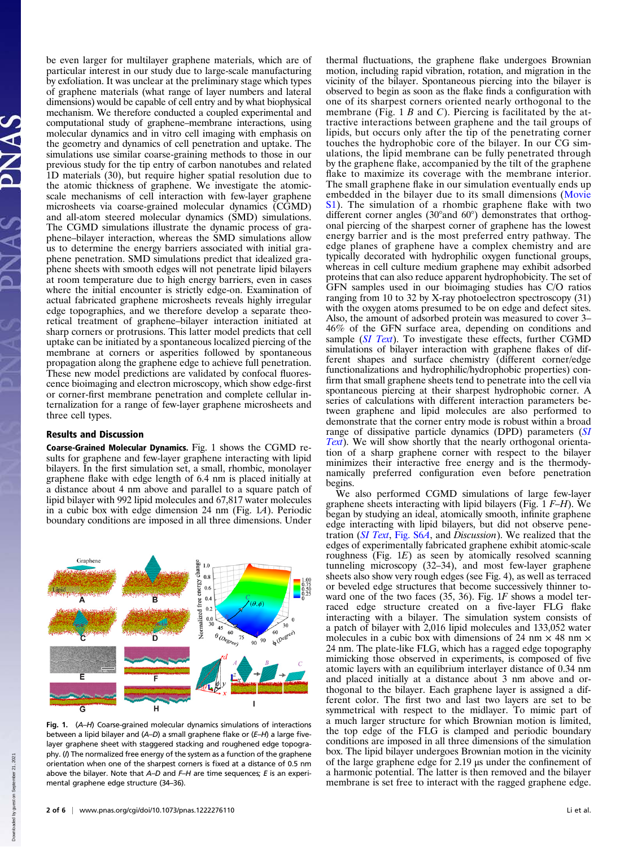be even larger for multilayer graphene materials, which are of particular interest in our study due to large-scale manufacturing by exfoliation. It was unclear at the preliminary stage which types of graphene materials (what range of layer numbers and lateral dimensions) would be capable of cell entry and by what biophysical mechanism. We therefore conducted a coupled experimental and computational study of graphene–membrane interactions, using molecular dynamics and in vitro cell imaging with emphasis on the geometry and dynamics of cell penetration and uptake. The simulations use similar coarse-graining methods to those in our previous study for the tip entry of carbon nanotubes and related 1D materials (30), but require higher spatial resolution due to the atomic thickness of graphene. We investigate the atomicscale mechanisms of cell interaction with few-layer graphene microsheets via coarse-grained molecular dynamics (CGMD) and all-atom steered molecular dynamics (SMD) simulations. The CGMD simulations illustrate the dynamic process of graphene–bilayer interaction, whereas the SMD simulations allow us to determine the energy barriers associated with initial graphene penetration. SMD simulations predict that idealized graphene sheets with smooth edges will not penetrate lipid bilayers at room temperature due to high energy barriers, even in cases where the initial encounter is strictly edge-on. Examination of actual fabricated graphene microsheets reveals highly irregular edge topographies, and we therefore develop a separate theoretical treatment of graphene–bilayer interaction initiated at sharp corners or protrusions. This latter model predicts that cell uptake can be initiated by a spontaneous localized piercing of the membrane at corners or asperities followed by spontaneous propagation along the graphene edge to achieve full penetration. These new model predictions are validated by confocal fluorescence bioimaging and electron microscopy, which show edge-first or corner-first membrane penetration and complete cellular internalization for a range of few-layer graphene microsheets and three cell types.

## Results and Discussion

Coarse-Grained Molecular Dynamics. Fig. 1 shows the CGMD results for graphene and few-layer graphene interacting with lipid bilayers. In the first simulation set, a small, rhombic, monolayer graphene flake with edge length of 6.4 nm is placed initially at a distance about 4 nm above and parallel to a square patch of lipid bilayer with 992 lipid molecules and 67,817 water molecules in a cubic box with edge dimension 24 nm (Fig. 1A). Periodic boundary conditions are imposed in all three dimensions. Under



Fig. 1. (A-H) Coarse-grained molecular dynamics simulations of interactions between a lipid bilayer and  $(A-D)$  a small graphene flake or  $(E-H)$  a large fivelayer graphene sheet with staggered stacking and roughened edge topography. (I) The normalized free energy of the system as a function of the graphene orientation when one of the sharpest corners is fixed at a distance of 0.5 nm above the bilayer. Note that  $A-D$  and  $F-H$  are time sequences; E is an experimental graphene edge structure (34–36).

thermal fluctuations, the graphene flake undergoes Brownian motion, including rapid vibration, rotation, and migration in the vicinity of the bilayer. Spontaneous piercing into the bilayer is observed to begin as soon as the flake finds a configuration with one of its sharpest corners oriented nearly orthogonal to the membrane (Fig. 1  $B$  and  $C$ ). Piercing is facilitated by the attractive interactions between graphene and the tail groups of lipids, but occurs only after the tip of the penetrating corner touches the hydrophobic core of the bilayer. In our CG simulations, the lipid membrane can be fully penetrated through by the graphene flake, accompanied by the tilt of the graphene flake to maximize its coverage with the membrane interior. The small graphene flake in our simulation eventually ends up embedded in the bilayer due to its small dimensions ([Movie](http://www.pnas.org/lookup/suppl/doi:10.1073/pnas.1222276110/-/DCSupplemental/sm01.avi) [S1](http://www.pnas.org/lookup/suppl/doi:10.1073/pnas.1222276110/-/DCSupplemental/sm01.avi)). The simulation of a rhombic graphene flake with two different corner angles (30 $^{\circ}$ and 60 $^{\circ}$ ) demonstrates that orthogonal piercing of the sharpest corner of graphene has the lowest energy barrier and is the most preferred entry pathway. The edge planes of graphene have a complex chemistry and are typically decorated with hydrophilic oxygen functional groups, whereas in cell culture medium graphene may exhibit adsorbed proteins that can also reduce apparent hydrophobicity. The set of GFN samples used in our bioimaging studies has C/O ratios ranging from 10 to 32 by X-ray photoelectron spectroscopy (31) with the oxygen atoms presumed to be on edge and defect sites. Also, the amount of adsorbed protein was measured to cover 3– 46% of the GFN surface area, depending on conditions and sample ([SI Text](http://www.pnas.org/lookup/suppl/doi:10.1073/pnas.1222276110/-/DCSupplemental/pnas.201222276SI.pdf?targetid=nameddest=STXT)). To investigate these effects, further CGMD simulations of bilayer interaction with graphene flakes of different shapes and surface chemistry (different corner/edge functionalizations and hydrophilic/hydrophobic properties) confirm that small graphene sheets tend to penetrate into the cell via spontaneous piercing at their sharpest hydrophobic corner. A series of calculations with different interaction parameters between graphene and lipid molecules are also performed to demonstrate that the corner entry mode is robust within a broad range of dissipative particle dynamics (DPD) parameters ([SI](http://www.pnas.org/lookup/suppl/doi:10.1073/pnas.1222276110/-/DCSupplemental/pnas.201222276SI.pdf?targetid=nameddest=STXT) [Text](http://www.pnas.org/lookup/suppl/doi:10.1073/pnas.1222276110/-/DCSupplemental/pnas.201222276SI.pdf?targetid=nameddest=STXT)). We will show shortly that the nearly orthogonal orientation of a sharp graphene corner with respect to the bilayer minimizes their interactive free energy and is the thermodynamically preferred configuration even before penetration begins.

We also performed CGMD simulations of large few-layer graphene sheets interacting with lipid bilayers (Fig.  $1$  F–H). We began by studying an ideal, atomically smooth, infinite graphene edge interacting with lipid bilayers, but did not observe penetration ([SI Text](http://www.pnas.org/lookup/suppl/doi:10.1073/pnas.1222276110/-/DCSupplemental/pnas.201222276SI.pdf?targetid=nameddest=STXT), [Fig. S6](http://www.pnas.org/lookup/suppl/doi:10.1073/pnas.1222276110/-/DCSupplemental/pnas.201222276SI.pdf?targetid=nameddest=SF6)A, and Discussion). We realized that the edges of experimentally fabricated graphene exhibit atomic-scale roughness (Fig. 1E) as seen by atomically resolved scanning tunneling microscopy (32–34), and most few-layer graphene sheets also show very rough edges (see Fig. 4), as well as terraced or beveled edge structures that become successively thinner toward one of the two faces (35, 36). Fig. 1F shows a model terraced edge structure created on a five-layer FLG flake interacting with a bilayer. The simulation system consists of a patch of bilayer with 2,016 lipid molecules and 133,052 water molecules in a cubic box with dimensions of 24 nm  $\times$  48 nm  $\times$ 24 nm. The plate-like FLG, which has a ragged edge topography mimicking those observed in experiments, is composed of five atomic layers with an equilibrium interlayer distance of 0.34 nm and placed initially at a distance about 3 nm above and orthogonal to the bilayer. Each graphene layer is assigned a different color. The first two and last two layers are set to be symmetrical with respect to the midlayer. To mimic part of a much larger structure for which Brownian motion is limited, the top edge of the FLG is clamped and periodic boundary conditions are imposed in all three dimensions of the simulation box. The lipid bilayer undergoes Brownian motion in the vicinity of the large graphene edge for 2.19 μs under the confinement of a harmonic potential. The latter is then removed and the bilayer membrane is set free to interact with the ragged graphene edge.

Downloaded by guest on September 21, 2021

loaded by guest on

Down

 $2021$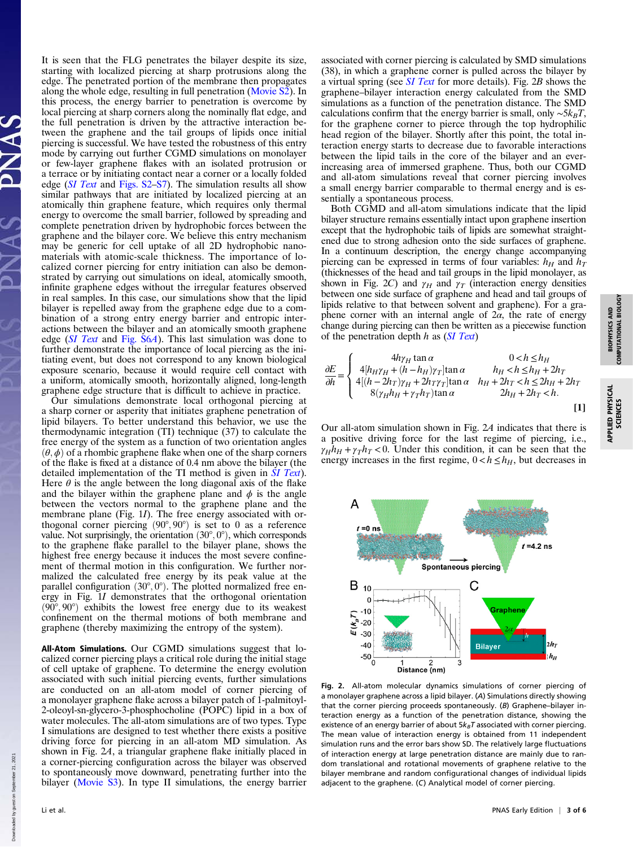It is seen that the FLG penetrates the bilayer despite its size, starting with localized piercing at sharp protrusions along the edge. The penetrated portion of the membrane then propagates along the whole edge, resulting in full penetration ([Movie S2](http://www.pnas.org/lookup/suppl/doi:10.1073/pnas.1222276110/-/DCSupplemental/sm02.avi)). In this process, the energy barrier to penetration is overcome by local piercing at sharp corners along the nominally flat edge, and the full penetration is driven by the attractive interaction between the graphene and the tail groups of lipids once initial piercing is successful. We have tested the robustness of this entry mode by carrying out further CGMD simulations on monolayer or few-layer graphene flakes with an isolated protrusion or a terrace or by initiating contact near a corner or a locally folded edge ([SI Text](http://www.pnas.org/lookup/suppl/doi:10.1073/pnas.1222276110/-/DCSupplemental/pnas.201222276SI.pdf?targetid=nameddest=STXT) and [Figs. S2](http://www.pnas.org/lookup/suppl/doi:10.1073/pnas.1222276110/-/DCSupplemental/pnas.201222276SI.pdf?targetid=nameddest=SF2)–[S7](http://www.pnas.org/lookup/suppl/doi:10.1073/pnas.1222276110/-/DCSupplemental/pnas.201222276SI.pdf?targetid=nameddest=SF7)). The simulation results all show similar pathways that are initiated by localized piercing at an atomically thin graphene feature, which requires only thermal energy to overcome the small barrier, followed by spreading and complete penetration driven by hydrophobic forces between the graphene and the bilayer core. We believe this entry mechanism may be generic for cell uptake of all 2D hydrophobic nanomaterials with atomic-scale thickness. The importance of localized corner piercing for entry initiation can also be demonstrated by carrying out simulations on ideal, atomically smooth, infinite graphene edges without the irregular features observed in real samples. In this case, our simulations show that the lipid bilayer is repelled away from the graphene edge due to a combination of a strong entry energy barrier and entropic interactions between the bilayer and an atomically smooth graphene edge ([SI Text](http://www.pnas.org/lookup/suppl/doi:10.1073/pnas.1222276110/-/DCSupplemental/pnas.201222276SI.pdf?targetid=nameddest=STXT) and [Fig. S6](http://www.pnas.org/lookup/suppl/doi:10.1073/pnas.1222276110/-/DCSupplemental/pnas.201222276SI.pdf?targetid=nameddest=SF6)A). This last simulation was done to further demonstrate the importance of local piercing as the initiating event, but does not correspond to any known biological exposure scenario, because it would require cell contact with a uniform, atomically smooth, horizontally aligned, long-length graphene edge structure that is difficult to achieve in practice.

Our simulations demonstrate local orthogonal piercing at a sharp corner or asperity that initiates graphene penetration of lipid bilayers. To better understand this behavior, we use the thermodynamic integration (TI) technique (37) to calculate the free energy of the system as a function of two orientation angles  $(\theta, \phi)$  of a rhombic graphene flake when one of the sharp corners of the flake is fixed at a distance of 0.4 nm above the bilayer (the detailed implementation of the TI method is given in [SI Text](http://www.pnas.org/lookup/suppl/doi:10.1073/pnas.1222276110/-/DCSupplemental/pnas.201222276SI.pdf?targetid=nameddest=STXT)). Here  $\theta$  is the angle between the long diagonal axis of the flake and the bilayer within the graphene plane and  $\phi$  is the angle between the vectors normal to the graphene plane and the membrane plane (Fig. 1I). The free energy associated with orthogonal corner piercing  $(90^{\circ}, 90^{\circ})$  is set to 0 as a reference value. Not surprisingly, the orientation  $(30^{\circ}, 0^{\circ})$ , which corresponds to the graphene flake parallel to the bilayer plane, shows the highest free energy because it induces the most severe confinement of thermal motion in this configuration. We further normalized the calculated free energy by its peak value at the parallel configuration  $(30^{\circ}, 0^{\circ})$ . The plotted normalized free energy in Fig. 1I demonstrates that the orthogonal orientation  $(90^{\circ}, 90^{\circ})$  exhibits the lowest free energy due to its weakest confinement on the thermal motions of both membrane and graphene (thereby maximizing the entropy of the system).

All-Atom Simulations. Our CGMD simulations suggest that localized corner piercing plays a critical role during the initial stage of cell uptake of graphene. To determine the energy evolution associated with such initial piercing events, further simulations are conducted on an all-atom model of corner piercing of a monolayer graphene flake across a bilayer patch of 1-palmitoyl-2-oleoyl-sn-glycero-3-phosphocholine (POPC) lipid in a box of water molecules. The all-atom simulations are of two types. Type I simulations are designed to test whether there exists a positive driving force for piercing in an all-atom MD simulation. As shown in Fig. 2A, a triangular graphene flake initially placed in a corner-piercing configuration across the bilayer was observed to spontaneously move downward, penetrating further into the bilayer [\(Movie S3](http://www.pnas.org/lookup/suppl/doi:10.1073/pnas.1222276110/-/DCSupplemental/sm03.avi)). In type II simulations, the energy barrier associated with corner piercing is calculated by SMD simulations (38), in which a graphene corner is pulled across the bilayer by a virtual spring (see  $\overline{SI}$  Text for more details). Fig. 2B shows the graphene–bilayer interaction energy calculated from the SMD simulations as a function of the penetration distance. The SMD calculations confirm that the energy barrier is small, only  $~\sim 5k_BT$ , for the graphene corner to pierce through the top hydrophilic head region of the bilayer. Shortly after this point, the total interaction energy starts to decrease due to favorable interactions between the lipid tails in the core of the bilayer and an everincreasing area of immersed graphene. Thus, both our CGMD and all-atom simulations reveal that corner piercing involves a small energy barrier comparable to thermal energy and is essentially a spontaneous process.

Both CGMD and all-atom simulations indicate that the lipid bilayer structure remains essentially intact upon graphene insertion except that the hydrophobic tails of lipids are somewhat straightened due to strong adhesion onto the side surfaces of graphene. In a continuum description, the energy change accompanying piercing can be expressed in terms of four variables:  $h_H$  and  $h_T$ (thicknesses of the head and tail groups in the lipid monolayer, as shown in Fig. 2C) and  $\gamma_H$  and  $\gamma_T$  (interaction energy densities between one side surface of graphene and head and tail groups of lipids relative to that between solvent and graphene). For a graphene corner with an internal angle of  $2\alpha$ , the rate of energy change during piercing can then be written as a piecewise function of the penetration depth  $h$  as  $(SI \text{ Text})$ 

$$
\frac{\partial E}{\partial h} = \begin{cases}\n4h_{\gamma_H} \tan \alpha & 0 < h \le h_H \\
4[h_{H\gamma_H} + (h - h_H)\gamma_T] \tan \alpha & h_H < h \le h_H + 2h_T \\
4[(h - 2h_T)\gamma_H + 2h_T\gamma_T] \tan \alpha & h_H + 2h_T < h \le 2h_H + 2h_T \\
8(\gamma_H h_H + \gamma_T h_T) \tan \alpha & 2h_H + 2h_T < h.\n\end{cases}
$$
\n[1]

Our all-atom simulation shown in Fig. 2A indicates that there is a positive driving force for the last regime of piercing, i.e.,  $\gamma_H h_H + \gamma_T h_T < 0$ . Under this condition, it can be seen that the energy increases in the first regime,  $0 < h \leq h_H$ , but decreases in



Fig. 2. All-atom molecular dynamics simulations of corner piercing of a monolayer graphene across a lipid bilayer. (A) Simulations directly showing that the corner piercing proceeds spontaneously. (B) Graphene–bilayer interaction energy as a function of the penetration distance, showing the existence of an energy barrier of about  $5k_BT$  associated with corner piercing. The mean value of interaction energy is obtained from 11 independent simulation runs and the error bars show SD. The relatively large fluctuations of interaction energy at large penetration distance are mainly due to random translational and rotational movements of graphene relative to the bilayer membrane and random configurational changes of individual lipids adjacent to the graphene. (C) Analytical model of corner piercing.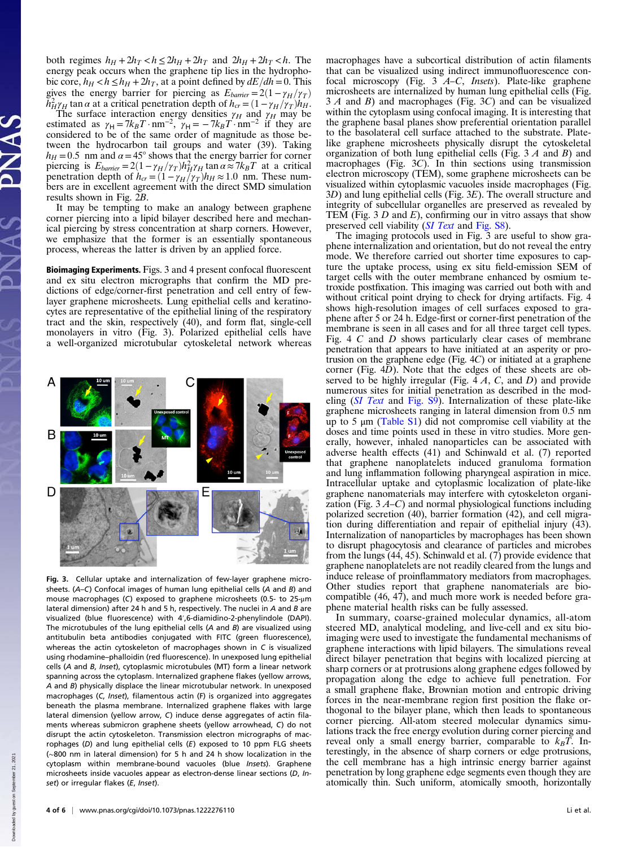both regimes  $h_H + 2h_T < h \leq 2h_H + 2h_T$  and  $2h_H + 2h_T < h$ . The energy peak occurs when the graphene tip lies in the hydrophobic core,  $h_H < h \leq h_H + 2h_T$ , at a point defined by  $dE/dh = 0$ . This gives the energy barrier for piercing as  $E_{bar}=2(1-\gamma_H/\gamma_T)$  $\tilde{h}_{H\gamma H}^2$  tan  $\alpha$  at a critical penetration depth of  $\tilde{h}_{cr} = (1 - \gamma_H/\gamma_T)h_H$ .

The surface interaction energy densities  $\gamma_H$  and  $\gamma_H$  may be estimated as  $\gamma_H = 7k_BT \cdot nm^{-2}$ ,  $\gamma_H = -7k_BT \cdot nm^{-2}$  if they are considered to be of the same order of magnitude as those between the hydrocarbon tail groups and water (39). Taking  $h_H = 0.5$  nm and  $\alpha = 45^\circ$  shows that the energy barrier for corner piercing is  $E_{barrier} = 2(1 - \gamma_H/\gamma_T)h_H^2 \gamma_H \tan \alpha \approx 7k_BT$  at a critical penetration depth of  $h_{cr} = \frac{(1 - \gamma_H/\gamma_T)}{h_H} \approx 1.0$  nm. These num-<br>bers are in excellent agreement with the direct SMD simulation results shown in Fig. 2B.

It may be tempting to make an analogy between graphene corner piercing into a lipid bilayer described here and mechanical piercing by stress concentration at sharp corners. However, we emphasize that the former is an essentially spontaneous process, whereas the latter is driven by an applied force.

Bioimaging Experiments. Figs. 3 and 4 present confocal fluorescent and ex situ electron micrographs that confirm the MD predictions of edge/corner-first penetration and cell entry of fewlayer graphene microsheets. Lung epithelial cells and keratinocytes are representative of the epithelial lining of the respiratory tract and the skin, respectively (40), and form flat, single-cell monolayers in vitro (Fig. 3). Polarized epithelial cells have a well-organized microtubular cytoskeletal network whereas



Fig. 3. Cellular uptake and internalization of few-layer graphene microsheets. (A–C) Confocal images of human lung epithelial cells (A and B) and mouse macrophages (C) exposed to graphene microsheets (0.5- to 25-μm lateral dimension) after 24 h and 5 h, respectively. The nuclei in A and B are visualized (blue fluorescence) with 4′,6-diamidino-2-phenylindole (DAPI). The microtubules of the lung epithelial cells (A and B) are visualized using antitubulin beta antibodies conjugated with FITC (green fluorescence), whereas the actin cytoskeleton of macrophages shown in C is visualized using rhodamine–phalloidin (red fluorescence). In unexposed lung epithelial cells (A and B, Inset), cytoplasmic microtubules (MT) form a linear network spanning across the cytoplasm. Internalized graphene flakes (yellow arrows, A and B) physically displace the linear microtubular network. In unexposed macrophages (C, Inset), filamentous actin (F) is organized into aggregates beneath the plasma membrane. Internalized graphene flakes with large lateral dimension (yellow arrow, C) induce dense aggregates of actin filaments whereas submicron graphene sheets (yellow arrowhead, C) do not disrupt the actin cytoskeleton. Transmission electron micrographs of macrophages (D) and lung epithelial cells (E) exposed to 10 ppm FLG sheets (∼800 nm in lateral dimension) for 5 h and 24 h show localization in the cytoplasm within membrane-bound vacuoles (blue Insets). Graphene microsheets inside vacuoles appear as electron-dense linear sections (D, Inset) or irregular flakes (E, Inset).

macrophages have a subcortical distribution of actin filaments that can be visualized using indirect immunofluorescence confocal microscopy (Fig. 3 A–C, Insets). Plate-like graphene microsheets are internalized by human lung epithelial cells (Fig.  $3 A$  and  $B$ ) and macrophages (Fig.  $3C$ ) and can be visualized within the cytoplasm using confocal imaging. It is interesting that the graphene basal planes show preferential orientation parallel to the basolateral cell surface attached to the substrate. Platelike graphene microsheets physically disrupt the cytoskeletal organization of both lung epithelial cells (Fig.  $3 \land A$  and  $B$ ) and macrophages (Fig. 3C). In thin sections using transmission electron microscopy (TEM), some graphene microsheets can be visualized within cytoplasmic vacuoles inside macrophages (Fig. 3D) and lung epithelial cells (Fig. 3E). The overall structure and integrity of subcellular organelles are preserved as revealed by TEM (Fig. 3  $D$  and  $E$ ), confirming our in vitro assays that show preserved cell viability ([SI Text](http://www.pnas.org/lookup/suppl/doi:10.1073/pnas.1222276110/-/DCSupplemental/pnas.201222276SI.pdf?targetid=nameddest=STXT) and [Fig. S8\)](http://www.pnas.org/lookup/suppl/doi:10.1073/pnas.1222276110/-/DCSupplemental/pnas.201222276SI.pdf?targetid=nameddest=SF8).

The imaging protocols used in Fig. 3 are useful to show graphene internalization and orientation, but do not reveal the entry mode. We therefore carried out shorter time exposures to capture the uptake process, using ex situ field-emission SEM of target cells with the outer membrane enhanced by osmium tetroxide postfixation. This imaging was carried out both with and without critical point drying to check for drying artifacts. Fig. 4 shows high-resolution images of cell surfaces exposed to graphene after 5 or 24 h. Edge-first or corner-first penetration of the membrane is seen in all cases and for all three target cell types. Fig. 4 C and D shows particularly clear cases of membrane penetration that appears to have initiated at an asperity or protrusion on the graphene edge (Fig. 4C) or initiated at a graphene corner (Fig.  $4D$ ). Note that the edges of these sheets are observed to be highly irregular (Fig.  $4 \, A$ , C, and D) and provide numerous sites for initial penetration as described in the modeling  $(SI \text{ Text}$  and Fig.  $S\hat{9}$ ). Internalization of these plate-like graphene microsheets ranging in lateral dimension from 0.5 nm up to 5 μm ([Table S1](http://www.pnas.org/lookup/suppl/doi:10.1073/pnas.1222276110/-/DCSupplemental/pnas.201222276SI.pdf?targetid=nameddest=ST1)) did not compromise cell viability at the doses and time points used in these in vitro studies. More generally, however, inhaled nanoparticles can be associated with adverse health effects (41) and Schinwald et al. (7) reported that graphene nanoplatelets induced granuloma formation and lung inflammation following pharyngeal aspiration in mice. Intracellular uptake and cytoplasmic localization of plate-like graphene nanomaterials may interfere with cytoskeleton organization (Fig.  $3A-C$ ) and normal physiological functions including polarized secretion (40), barrier formation (42), and cell migration during differentiation and repair of epithelial injury (43). Internalization of nanoparticles by macrophages has been shown to disrupt phagocytosis and clearance of particles and microbes from the lungs (44, 45). Schinwald et al. (7) provide evidence that graphene nanoplatelets are not readily cleared from the lungs and induce release of proinflammatory mediators from macrophages. Other studies report that graphene nanomaterials are biocompatible (46, 47), and much more work is needed before graphene material health risks can be fully assessed.

In summary, coarse-grained molecular dynamics, all-atom steered MD, analytical modeling, and live-cell and ex situ bioimaging were used to investigate the fundamental mechanisms of graphene interactions with lipid bilayers. The simulations reveal direct bilayer penetration that begins with localized piercing at sharp corners or at protrusions along graphene edges followed by propagation along the edge to achieve full penetration. For a small graphene flake, Brownian motion and entropic driving forces in the near-membrane region first position the flake orthogonal to the bilayer plane, which then leads to spontaneous corner piercing. All-atom steered molecular dynamics simulations track the free energy evolution during corner piercing and reveal only a small energy barrier, comparable to  $k_BT$ . Interestingly, in the absence of sharp corners or edge protrusions, the cell membrane has a high intrinsic energy barrier against penetration by long graphene edge segments even though they are atomically thin. Such uniform, atomically smooth, horizontally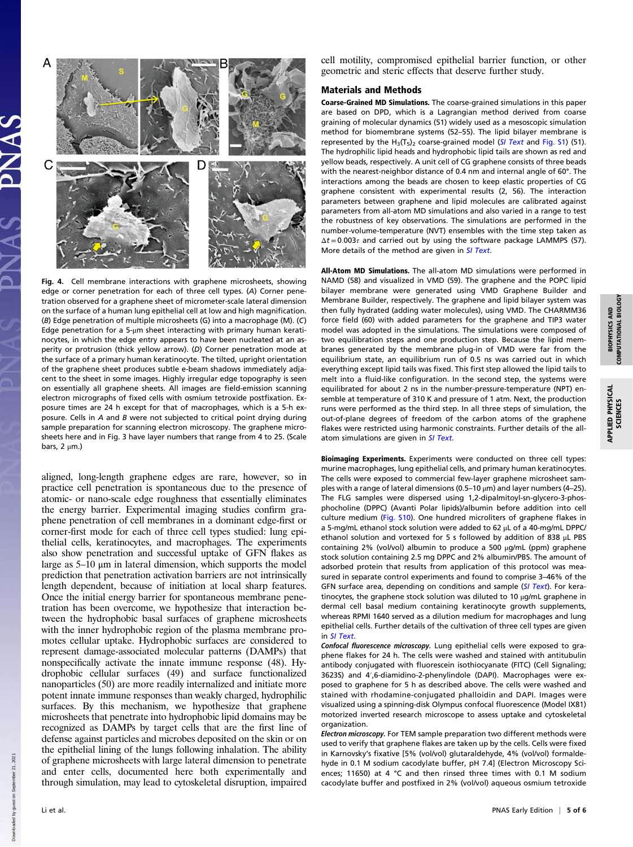



Fig. 4. Cell membrane interactions with graphene microsheets, showing edge or corner penetration for each of three cell types. (A) Corner penetration observed for a graphene sheet of micrometer-scale lateral dimension on the surface of a human lung epithelial cell at low and high magnification. (B) Edge penetration of multiple microsheets (G) into a macrophage (M). (C) Edge penetration for a 5-μm sheet interacting with primary human keratinocytes, in which the edge entry appears to have been nucleated at an asperity or protrusion (thick yellow arrow). (D) Corner penetration mode at the surface of a primary human keratinocyte. The tilted, upright orientation of the graphene sheet produces subtle e-beam shadows immediately adjacent to the sheet in some images. Highly irregular edge topography is seen on essentially all graphene sheets. All images are field-emission scanning electron micrographs of fixed cells with osmium tetroxide postfixation. Exposure times are 24 h except for that of macrophages, which is a 5-h exposure. Cells in A and B were not subjected to critical point drying during sample preparation for scanning electron microscopy. The graphene microsheets here and in Fig. 3 have layer numbers that range from 4 to 25. (Scale bars, 2 μm.)

aligned, long-length graphene edges are rare, however, so in practice cell penetration is spontaneous due to the presence of atomic- or nano-scale edge roughness that essentially eliminates the energy barrier. Experimental imaging studies confirm graphene penetration of cell membranes in a dominant edge-first or corner-first mode for each of three cell types studied: lung epithelial cells, keratinocytes, and macrophages. The experiments also show penetration and successful uptake of GFN flakes as large as 5–10 μm in lateral dimension, which supports the model prediction that penetration activation barriers are not intrinsically length dependent, because of initiation at local sharp features. Once the initial energy barrier for spontaneous membrane penetration has been overcome, we hypothesize that interaction between the hydrophobic basal surfaces of graphene microsheets with the inner hydrophobic region of the plasma membrane promotes cellular uptake. Hydrophobic surfaces are considered to represent damage-associated molecular patterns (DAMPs) that nonspecifically activate the innate immune response (48). Hydrophobic cellular surfaces (49) and surface functionalized nanoparticles (50) are more readily internalized and initiate more potent innate immune responses than weakly charged, hydrophilic surfaces. By this mechanism, we hypothesize that graphene microsheets that penetrate into hydrophobic lipid domains may be recognized as DAMPs by target cells that are the first line of defense against particles and microbes deposited on the skin or on the epithelial lining of the lungs following inhalation. The ability of graphene microsheets with large lateral dimension to penetrate and enter cells, documented here both experimentally and through simulation, may lead to cytoskeletal disruption, impaired cell motility, compromised epithelial barrier function, or other geometric and steric effects that deserve further study.

## Materials and Methods

Coarse-Grained MD Simulations. The coarse-grained simulations in this paper are based on DPD, which is a Lagrangian method derived from coarse graining of molecular dynamics (51) widely used as a mesoscopic simulation method for biomembrane systems (52–55). The lipid bilayer membrane is represented by the  $H_3(T_5)_2$  coarse-grained model ([SI Text](http://www.pnas.org/lookup/suppl/doi:10.1073/pnas.1222276110/-/DCSupplemental/pnas.201222276SI.pdf?targetid=nameddest=STXT) and [Fig. S1\)](http://www.pnas.org/lookup/suppl/doi:10.1073/pnas.1222276110/-/DCSupplemental/pnas.201222276SI.pdf?targetid=nameddest=SF1) (51). The hydrophilic lipid heads and hydrophobic lipid tails are shown as red and yellow beads, respectively. A unit cell of CG graphene consists of three beads with the nearest-neighbor distance of 0.4 nm and internal angle of 60°. The interactions among the beads are chosen to keep elastic properties of CG graphene consistent with experimental results (2, 56). The interaction parameters between graphene and lipid molecules are calibrated against parameters from all-atom MD simulations and also varied in a range to test the robustness of key observations. The simulations are performed in the number-volume-temperature (NVT) ensembles with the time step taken as  $\Delta t = 0.003\tau$  and carried out by using the software package LAMMPS (57). More details of the method are given in [SI Text](http://www.pnas.org/lookup/suppl/doi:10.1073/pnas.1222276110/-/DCSupplemental/pnas.201222276SI.pdf?targetid=nameddest=STXT).

All-Atom MD Simulations. The all-atom MD simulations were performed in NAMD (58) and visualized in VMD (59). The graphene and the POPC lipid bilayer membrane were generated using VMD Graphene Builder and Membrane Builder, respectively. The graphene and lipid bilayer system was then fully hydrated (adding water molecules), using VMD. The CHARMM36 force field (60) with added parameters for the graphene and TIP3 water model was adopted in the simulations. The simulations were composed of two equilibration steps and one production step. Because the lipid membranes generated by the membrane plug-in of VMD were far from the equilibrium state, an equilibrium run of 0.5 ns was carried out in which everything except lipid tails was fixed. This first step allowed the lipid tails to melt into a fluid-like configuration. In the second step, the systems were equilibrated for about 2 ns in the number-pressure-temperature (NPT) ensemble at temperature of 310 K and pressure of 1 atm. Next, the production runs were performed as the third step. In all three steps of simulation, the out-of-plane degrees of freedom of the carbon atoms of the graphene flakes were restricted using harmonic constraints. Further details of the all-atom simulations are given in [SI Text](http://www.pnas.org/lookup/suppl/doi:10.1073/pnas.1222276110/-/DCSupplemental/pnas.201222276SI.pdf?targetid=nameddest=STXT).

Bioimaging Experiments. Experiments were conducted on three cell types: murine macrophages, lung epithelial cells, and primary human keratinocytes. The cells were exposed to commercial few-layer graphene microsheet samples with a range of lateral dimensions (0.5–10 μm) and layer numbers (4–25). The FLG samples were dispersed using 1,2-dipalmitoyl-sn-glycero-3-phosphocholine (DPPC) (Avanti Polar lipids)/albumin before addition into cell culture medium [\(Fig. S10\)](http://www.pnas.org/lookup/suppl/doi:10.1073/pnas.1222276110/-/DCSupplemental/pnas.201222276SI.pdf?targetid=nameddest=SF10). One hundred microliters of graphene flakes in a 5-mg/mL ethanol stock solution were added to 62 μL of a 40-mg/mL DPPC/ ethanol solution and vortexed for 5 s followed by addition of 838 μL PBS containing 2% (vol/vol) albumin to produce a 500 μg/mL (ppm) graphene stock solution containing 2.5 mg DPPC and 2% albumin/PBS. The amount of adsorbed protein that results from application of this protocol was measured in separate control experiments and found to comprise 3–46% of the GFN surface area, depending on conditions and sample ([SI Text](http://www.pnas.org/lookup/suppl/doi:10.1073/pnas.1222276110/-/DCSupplemental/pnas.201222276SI.pdf?targetid=nameddest=STXT)). For keratinocytes, the graphene stock solution was diluted to 10 μg/mL graphene in dermal cell basal medium containing keratinocyte growth supplements, whereas RPMI 1640 served as a dilution medium for macrophages and lung epithelial cells. Further details of the cultivation of three cell types are given in [SI Text](http://www.pnas.org/lookup/suppl/doi:10.1073/pnas.1222276110/-/DCSupplemental/pnas.201222276SI.pdf?targetid=nameddest=STXT).

Confocal fluorescence microscopy. Lung epithelial cells were exposed to graphene flakes for 24 h. The cells were washed and stained with antitubulin antibody conjugated with fluorescein isothiocyanate (FITC) (Cell Signaling; 3623S) and 4′,6-diamidino-2-phenylindole (DAPI). Macrophages were exposed to graphene for 5 h as described above. The cells were washed and stained with rhodamine-conjugated phalloidin and DAPI. Images were visualized using a spinning-disk Olympus confocal fluorescence (Model IX81) motorized inverted research microscope to assess uptake and cytoskeletal organization.

Electron microscopy. For TEM sample preparation two different methods were used to verify that graphene flakes are taken up by the cells. Cells were fixed in Karnovsky's fixative [5% (vol/vol) glutaraldehyde, 4% (vol/vol) formaldehyde in 0.1 M sodium cacodylate buffer, pH 7.4] (Electron Microscopy Sciences; 11650) at 4 °C and then rinsed three times with 0.1 M sodium cacodylate buffer and postfixed in 2% (vol/vol) aqueous osmium tetroxide

 $2021$